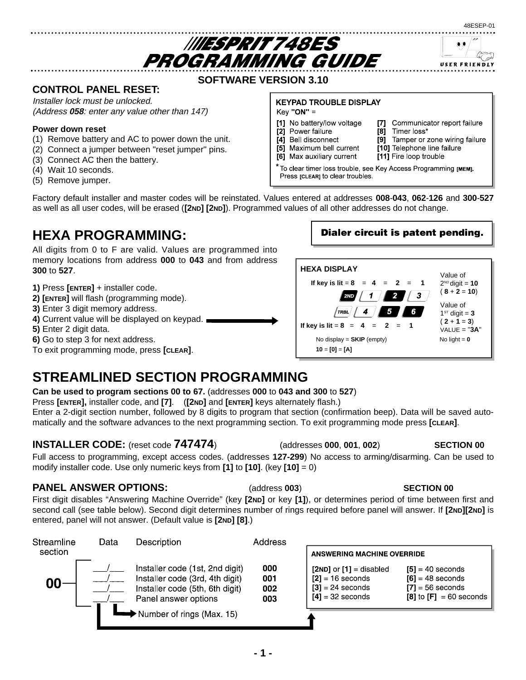**SOFTWARE VERSION 3.10**

**IIIESPRIT 748ES** PROGRAMMING GUIDE

## **CONTROL PANEL RESET:**

Installer lock must be unlocked. (Address **058**: enter any value other than 147)

### **Power down reset**

- (1) Remove battery and AC to power down the unit.
- (2) Connect a jumper between "reset jumper" pins.
- (3) Connect AC then the battery.
- (4) Wait 10 seconds.
- (5) Remove jumper.

### **KEYPAD TROUBLE DISPLAY**

 $Key "ON" =$ 

- [1] No battery/low voltage
- $[2]$ Power failure [4]
- Communicator report failure  $[8]$ Timer loss\*

Tamper or zone wiring failure

- Bell disconnect  $[9]$ [10] Telephone line failure
- Maximum bell current [5]
- [6] Max auxiliary current
- To clear timer loss trouble, see Key Access Programming [MEM]. Press [CLEAR] to clear troubles.

[7]

Factory default installer and master codes will be reinstated. Values entered at addresses **008**-**043**, **062**-**126** and **300**-**527** as well as all user codes, will be erased (**[2ND] [2ND]**). Programmed values of all other addresses do not change.

## **HEXA PROGRAMMING:**

All digits from 0 to F are valid. Values are programmed into memory locations from address **000** to **043** and from address **300** to **527**.

- **1)** Press **[ENTER]** + installer code.
- **2) [ENTER]** will flash (programming mode).
- **3)** Enter 3 digit memory address.
- **4)** Current value will be displayed on keypad.
- **5)** Enter 2 digit data.
- **6)** Go to step 3 for next address.

To exit programming mode, press **[CLEAR]**.

## **STREAMLINED SECTION PROGRAMMING**

### **Can be used to program sections 00 to 67.** (addresses **000** to **043 and 300** to **527**)

Press **[ENTER],** installer code, and **[7]**. (**[2ND]** and **[ENTER]** keys alternately flash.)

Enter a 2-digit section number, followed by 8 digits to program that section (confirmation beep). Data will be saved automatically and the software advances to the next programming section. To exit programming mode press **[CLEAR]**.

## **INSTALLER CODE:** (reset code **747474**) (addresses **000**, **001**, **002**) **SECTION 00**

Full access to programming, except access codes. (addresses **127-299**) No access to arming/disarming. Can be used to modify installer code. Use only numeric keys from **[1]** to **[10]**. (key **[10]** = 0)

## **PANEL ANSWER OPTIONS:** (address **003**) **SECTION 00**

First digit disables "Answering Machine Override" (key **[2ND]** or key **[1]**), or determines period of time between first and second call (see table below). Second digit determines number of rings required before panel will answer. If **[2ND][2ND]** is entered, panel will not answer. (Default value is **[2ND] [8]**.)

| Streamline | Data | Description                                                                                                                   | Address                  |                                                                                               |                                                                                               |
|------------|------|-------------------------------------------------------------------------------------------------------------------------------|--------------------------|-----------------------------------------------------------------------------------------------|-----------------------------------------------------------------------------------------------|
| section    |      |                                                                                                                               |                          | <b>ANSWERING MACHINE OVERRIDE</b>                                                             |                                                                                               |
| 00         |      | Installer code (1st, 2nd digit)<br>Installer code (3rd, 4th digit)<br>Installer code (5th, 6th digit)<br>Panel answer options | 000<br>001<br>002<br>003 | $[2ND]$ or $[1]$ = disabled<br>$[2] = 16$ seconds<br>$[3] = 24$ seconds<br>$[4] = 32$ seconds | $[5] = 40$ seconds<br>$[6] = 48$ seconds<br>$[7] = 56$ seconds<br>$[8]$ to $[F] = 60$ seconds |
|            |      | Number of rings (Max. 15)                                                                                                     |                          |                                                                                               |                                                                                               |

### 48ESEP-01

USER FRIENDLY

Dialer circuit is patent pending.

[11] Fire loop trouble

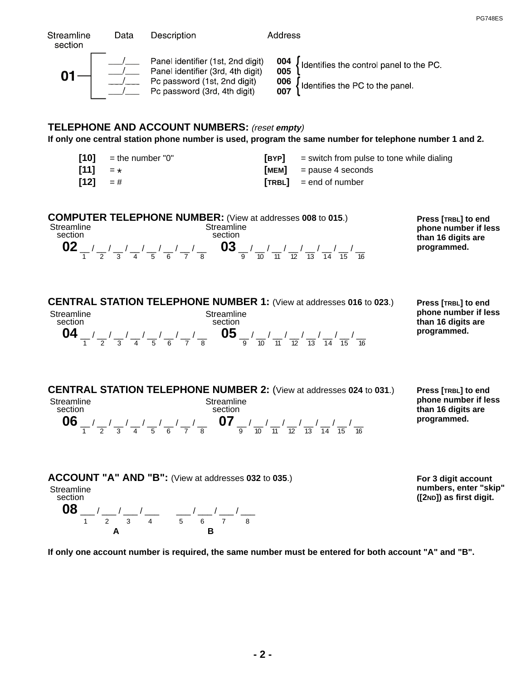| Streamline<br>section      | Data                                 | Description                                                                                                                                                                                                                                                                                                                                                                                                                                                                                                                                            | Address                        |                                                                                                         |                                                                                  |
|----------------------------|--------------------------------------|--------------------------------------------------------------------------------------------------------------------------------------------------------------------------------------------------------------------------------------------------------------------------------------------------------------------------------------------------------------------------------------------------------------------------------------------------------------------------------------------------------------------------------------------------------|--------------------------------|---------------------------------------------------------------------------------------------------------|----------------------------------------------------------------------------------|
|                            |                                      | Panel identifier (1st, 2nd digit)<br>$\begin{array}{ c c c c }\n\hline\n\textbf{01} & \begin{array}{c} \textcolor{red}{\textbf{1}} & \textcolor{red}{\textbf{1}} & \textcolor{red}{\textbf{1}} & \textcolor{red}{\textbf{1}} & \textcolor{red}{\textbf{1}} & \textcolor{red}{\textbf{1}} & \textcolor{red}{\textbf{1}} & \textcolor{red}{\textbf{1}} & \textcolor{red}{\textbf{1}} & \textcolor{red}{\textbf{1}} & \textcolor{red}{\textbf{1}} & \textcolor{red}{\textbf{1}} & \textcolor{red}{\textbf{1}} & \textcolor{red}{\textbf{1}} & \textcolor$ |                                | 004<br>005<br>ldentifies the control panel to the PC.<br>006<br>ldentifies the PC to the panel.         |                                                                                  |
|                            |                                      | <b>TELEPHONE AND ACCOUNT NUMBERS:</b> (reset empty)                                                                                                                                                                                                                                                                                                                                                                                                                                                                                                    |                                | If only one central station phone number is used, program the same number for telephone number 1 and 2. |                                                                                  |
| $[10]$<br>$[11]$<br>$[12]$ | $=$ the number "0"<br>$=$ *<br>$=$ # |                                                                                                                                                                                                                                                                                                                                                                                                                                                                                                                                                        | $[$ BYP $]$<br>[MEM]<br>[TRBL] | $=$ switch from pulse to tone while dialing<br>$=$ pause 4 seconds<br>$=$ end of number                 |                                                                                  |
| Streamline<br>section      |                                      | <b>COMPUTER TELEPHONE NUMBER:</b> (View at addresses 008 to 015.)<br>Streamline<br>eamline<br>iection<br><b>02</b> $\frac{1}{1}$ / $\frac{1}{2}$ / $\frac{1}{3}$ / $\frac{1}{4}$ / $\frac{1}{5}$ / $\frac{1}{6}$ / $\frac{1}{7}$ / $\frac{1}{8}$ <b>03</b> $\frac{1}{9}$ / $\frac{1}{10}$ / $\frac{1}{11}$ / $\frac{1}{12}$ / $\frac{1}{13}$ / $\frac{1}{14}$ / $\frac{1}{15}$ / $\frac{1}{16}$                                                                                                                                                        |                                |                                                                                                         | Press [TRBL] to end<br>phone number if less<br>than 16 digits are<br>programmed. |
| Streamline<br>section      |                                      | CENTRAL STATION TELEPHONE NUMBER 1: (View at addresses 016 to 023.)<br>Streamline<br>section<br>04 $\frac{1}{1}$ / $\frac{1}{2}$ / $\frac{1}{3}$ / $\frac{1}{4}$ / $\frac{1}{5}$ / $\frac{1}{6}$ / $\frac{1}{7}$ / $\frac{1}{8}$ 05 $\frac{1}{9}$ / $\frac{1}{10}$ / $\frac{1}{11}$ / $\frac{1}{12}$ / $\frac{1}{13}$ / $\frac{1}{14}$ / $\frac{1}{15}$ / $\frac{1}{16}$                                                                                                                                                                               |                                |                                                                                                         | Press [TRBL] to end<br>phone number if less<br>than 16 digits are<br>programmed. |
| Streamline<br>section      |                                      | <b>CENTRAL STATION TELEPHONE NUMBER 2: (View at addresses 024 to 031.)</b><br>Streamline<br>section<br><b>06</b> $\frac{1}{1}$ $\frac{1}{2}$ $\frac{1}{3}$ $\frac{1}{4}$ $\frac{1}{5}$ $\frac{1}{6}$ $\frac{1}{7}$ $\frac{1}{8}$ <b>07</b> $\frac{1}{9}$ $\frac{1}{10}$ $\frac{1}{11}$ $\frac{1}{12}$ $\frac{1}{13}$ $\frac{1}{14}$ $\frac{1}{15}$ $\frac{1}{16}$                                                                                                                                                                                      |                                |                                                                                                         | Press [TRBL] to end<br>phone number if less<br>than 16 digits are<br>programmed. |
| Streamline<br>section      |                                      | ACCOUNT "A" AND "B": (View at addresses 032 to 035.)                                                                                                                                                                                                                                                                                                                                                                                                                                                                                                   |                                |                                                                                                         | For 3 digit account<br>numbers, enter "skip"<br>([2ND]) as first digit.          |

**08** \_\_\_ / \_\_\_ / \_\_\_ / \_\_\_ / \_\_\_ / \_\_\_ / \_\_\_ / 1 2 3 4 5 6 7 8 **A B**

**([2ND]) as first digit.**

PG748ES

**If only one account number is required, the same number must be entered for both account "A" and "B".**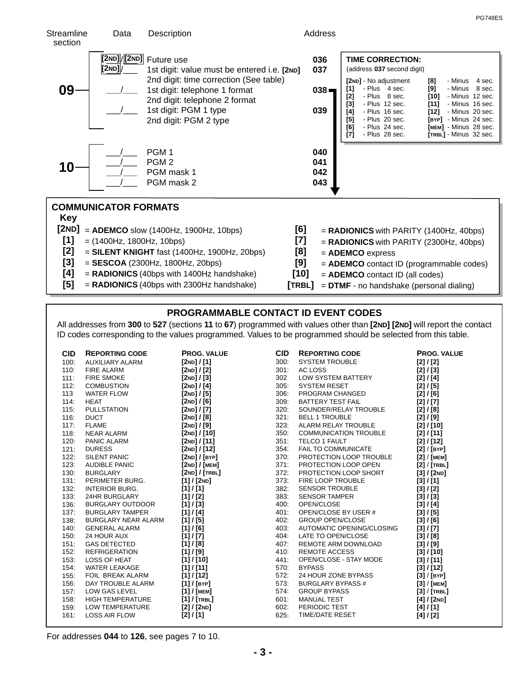

- **[4]** = RADIONICS (40bps with 1400Hz handshake)
- **[5]** = RADIONICS (40bps with 2300Hz handshake)
- **[10]** = ADEMCO contact ID (all codes)

PG748ES

 $[$ **TRBL** $]$  = **DTMF** - no handshake (personal dialing)

### **PROGRAMMABLE CONTACT ID EVENT CODES**

All addresses from 300 to 527 (sections 11 to 67) programmed with values other than [2ND] [2ND] will report the contact ID codes corresponding to the values programmed. Values to be programmed should be selected from this table.

| <b>CID</b> | <b>REPORTING CODE</b>      | <b>PROG. VALUE</b>         | <b>CID</b> | <b>REPORTING CODE</b>        | <b>PROG. VALUE</b> |
|------------|----------------------------|----------------------------|------------|------------------------------|--------------------|
| 100:       | <b>AUXILIARY ALARM</b>     | [2ND]/[1]                  | 300:       | <b>SYSTEM TROUBLE</b>        | [2]/[2]            |
| 110:       | <b>FIRE ALARM</b>          | [2ND]/[2]                  | 301:       | AC LOSS                      | [2]/[3]            |
| 111:       | <b>FIRE SMOKE</b>          | $[2ND]/[3]$                | 302        | LOW SYSTEM BATTERY           | [2]/[4]            |
| 112:       | <b>COMBUSTION</b>          | [ $2ND$ ] / [4]            | 305:       | <b>SYSTEM RESET</b>          | [2] / [5]          |
| 113        | <b>WATER FLOW</b>          | [2ND]/[5]                  | 306:       | PROGRAM CHANGED              | [2]/[6]            |
| 114:       | <b>HEAT</b>                | [2 <sub>ND</sub> ] $/$ [6] | 309:       | BATTERY TEST FAIL            | [2]/[7]            |
| 115:       | <b>PULLSTATION</b>         | [2ND]/[7]                  | 320:       | SOUNDER/RELAY TROUBLE        | [2]/[8]            |
| 116:       | <b>DUCT</b>                | [2ND]/[8]                  | 321:       | <b>BELL 1 TROUBLE</b>        | [2]/[9]            |
| 117:       | <b>FLAME</b>               | [ $2ND$ ] / [9]            | 323:       | ALARM RELAY TROUBLE          | [2] / [10]         |
| 118:       | NEAR ALARM                 | [2ND]/[10]                 | 350:       | <b>COMMUNICATION TROUBLE</b> | [2]/[11]           |
| 120:       | PANIC ALARM                | [2ND]/[11]                 | 351:       | TELCO 1 FAULT                | [2]/[12]           |
| 121:       | <b>DURESS</b>              | [2ND]/[12]                 | 354:       | <b>FAIL TO COMMUNICATE</b>   | [2] / [BYP]        |
| 122:       | <b>SILENT PANIC</b>        | [2ND]/[BYP]                | 370:       | PROTECTION LOOP TROUBLE      | [2] / [MEM]        |
| 123:       | AUDIBLE PANIC              | [2ND]/[MEM]                | 371:       | PROTECTION LOOP OPEN         | $[2]/$ [TRBL]      |
| 130:       | <b>BURGLARY</b>            | [2ND]/[TRBL]               | 372:       | PROTECTION LOOP SHORT        | [3] / [2ND]        |
| 131:       | PERIMETER BURG.            | [1] / [2ND]                | 373:       | <b>FIRE LOOP TROUBLE</b>     | [3]/[1]            |
| 132:       | <b>INTERIOR BURG.</b>      | [1]/[1]                    | 382:       | <b>SENSOR TROUBLE</b>        | [3]/[2]            |
| 133:       | 24HR BURGLARY              | [1]/[2]                    | 383:       | SENSOR TAMPER                | [3]/[3]            |
| 136:       | <b>BURGLARY OUTDOOR</b>    | [1] / [3]                  | 400:       | OPEN/CLOSE                   | [3]/[4]            |
| 137:       | <b>BURGLARY TAMPER</b>     | [1]/[4]                    | 401:       | OPEN/CLOSE BY USER #         | [3]/[5]            |
| 138:       | <b>BURGLARY NEAR ALARM</b> | [1] / [5]                  | 402:       | <b>GROUP OPEN/CLOSE</b>      | [3]/[6]            |
| 140:       | <b>GENERAL ALARM</b>       | [1] / [6]                  | 403:       | AUTOMATIC OPENING/CLOSING    | [3]/[7]            |
| 150:       | 24 HOUR AUX                | [1] / [7]                  | 404:       | LATE TO OPEN/CLOSE           | [3]/[8]            |
| 151:       | <b>GAS DETECTED</b>        | [1] / [8]                  | 407:       | REMOTE ARM DOWNLOAD          | [3] / [9]          |
| 152:       | <b>REFRIGERATION</b>       | [1] / [9]                  | 410:       | <b>REMOTE ACCESS</b>         | [3] / [10]         |
| 153:       | <b>LOSS OF HEAT</b>        | [1] / [10]                 | 441:       | OPEN/CLOSE - STAY MODE       | [3]/[11]           |
| 154:       | <b>WATER LEAKAGE</b>       | [1] / [11]                 | 570:       | <b>BYPASS</b>                | [3]/[12]           |
| 155:       | FOIL BREAK ALARM           | [1]/[12]                   | 572:       | 24 HOUR ZONE BYPASS          | [3] / [BYP]        |
| 156:       | DAY TROUBLE ALARM          | [1] $/$ [BYP]              | 573:       | BURGLARY BYPASS #            | [3] / [MEM]        |
| 157:       | <b>LOW GAS LEVEL</b>       | [1] $/$ [MEM]              | 574:       | <b>GROUP BYPASS</b>          | [3] / [TRBL]       |
| 158:       | <b>HIGH TEMPERATURE</b>    | [1] / [TRBL]               | 601:       | <b>MANUAL TEST</b>           | [4] / [2ND]        |
| 159:       | LOW TEMPERATURE            | [2] / [2ND]                | 602:       | PERIODIC TEST                | [4]/[1]            |
| 161:       | <b>LOSS AIR FLOW</b>       | [2]/[1]                    | 625:       | TIME/DATE RESET              | [4]/[2]            |
|            |                            |                            |            |                              |                    |

For addresses **044** to **126**, see pages 7 to 10.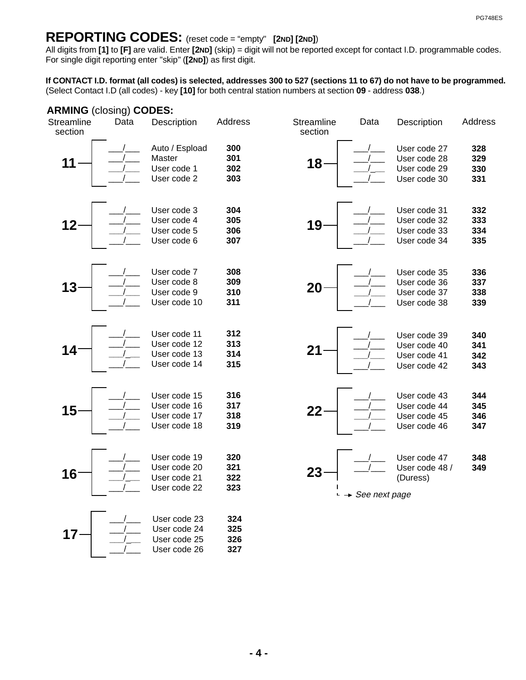## REPORTING CODES: (reset code = "empty" [2ND] [2ND])

All digits from [1] to [F] are valid. Enter [2ND] (skip) = digit will not be reported except for contact I.D. programmable codes. For single digit reporting enter "skip" ([2ND]) as first digit. [1] to [F] are valid. Enter [2ND] **[2 ] ND ND**

(Select Contact I.D (all codes) - key [10] for both central station numbers at section 09 - address 038.) **If CONTACT I.D. format (all codes) is selected, addresses 300 to 527 (sections 11 to 67) do not have to be programmed.**

### **ARMING (closing) CODES:**

| <b>Streamline</b><br>section | Data | Description                                                  | Address                  | Streamline<br>section | Data                        | Description                                                  | Address                  |
|------------------------------|------|--------------------------------------------------------------|--------------------------|-----------------------|-----------------------------|--------------------------------------------------------------|--------------------------|
|                              |      | Auto / Espload<br>Master<br>User code 1<br>User code 2       | 300<br>301<br>302<br>303 | $18 -$                |                             | User code 27<br>User code 28<br>User code 29<br>User code 30 | 328<br>329<br>330<br>331 |
| 12                           |      | User code 3<br>User code 4<br>User code 5<br>User code 6     | 304<br>305<br>306<br>307 | 19                    |                             | User code 31<br>User code 32<br>User code 33<br>User code 34 | 332<br>333<br>334<br>335 |
| 13                           |      | User code 7<br>User code 8<br>User code 9<br>User code 10    | 308<br>309<br>310<br>311 | 20                    |                             | User code 35<br>User code 36<br>User code 37<br>User code 38 | 336<br>337<br>338<br>339 |
| 14                           |      | User code 11<br>User code 12<br>User code 13<br>User code 14 | 312<br>313<br>314<br>315 | 21                    |                             | User code 39<br>User code 40<br>User code 41<br>User code 42 | 340<br>341<br>342<br>343 |
| 15                           |      | User code 15<br>User code 16<br>User code 17<br>User code 18 | 316<br>317<br>318<br>319 | 22                    |                             | User code 43<br>User code 44<br>User code 45<br>User code 46 | 344<br>345<br>346<br>347 |
| 16                           |      | User code 19<br>User code 20<br>User code 21<br>User code 22 | 320<br>321<br>322<br>323 | 23                    | $\rightarrow$ See next page | User code 47<br>User code 48 /<br>(Duress)                   | 348<br>349               |
| 17                           |      | User code 23<br>User code 24<br>User code 25<br>User code 26 | 324<br>325<br>326<br>327 |                       |                             |                                                              |                          |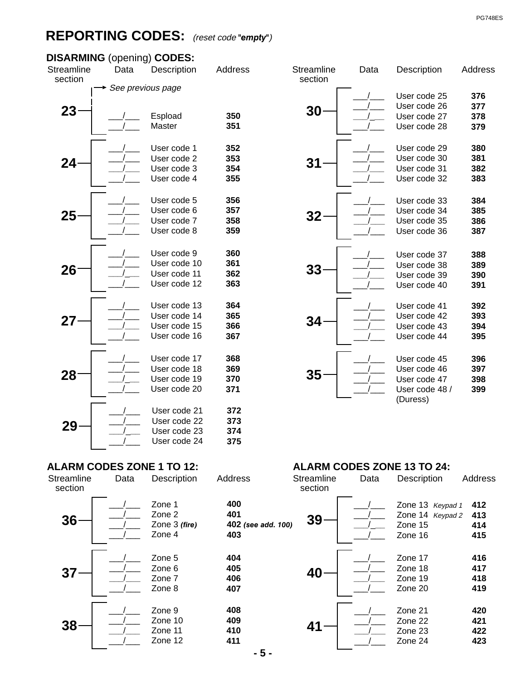## **REPORTING CODES:** (reset code "empty")

## **DISARMING** (opening) **CODES:**

| <b>Streamline</b><br>section | Data              | Description                                                  | Addres                   |
|------------------------------|-------------------|--------------------------------------------------------------|--------------------------|
|                              | See previous page |                                                              |                          |
| 23                           |                   | Espload<br>Master                                            | 350<br>351               |
| 24                           |                   | User code 1<br>User code 2<br>User code 3<br>User code 4     | 352<br>353<br>354<br>355 |
| 25                           |                   | User code 5<br>User code 6<br>User code 7<br>User code 8     | 356<br>357<br>358<br>359 |
| 26                           |                   | User code 9<br>User code 10<br>User code 11<br>User code 12  | 360<br>361<br>362<br>363 |
| 27                           |                   | User code 13<br>User code 14<br>User code 15<br>User code 16 | 364<br>365<br>366<br>367 |
| 28                           |                   | User code 17<br>User code 18<br>User code 19<br>User code 20 | 368<br>369<br>370<br>371 |
| 29                           |                   | User code 21<br>User code 22<br>User code 23<br>User code 24 | 372<br>373<br>374<br>375 |

|      | $p$ pening) $\sf{CODES:}$ |         |                       |      |                |         |
|------|---------------------------|---------|-----------------------|------|----------------|---------|
| Data | Description               | Address | Streamline<br>section | Data | Description    | Address |
|      | ee previous page          |         |                       |      |                |         |
|      |                           |         |                       |      | User code 25   | 376     |
|      |                           |         | 30                    |      | User code 26   | 377     |
|      | Espload                   | 350     |                       |      | User code 27   | 378     |
|      | Master                    | 351     |                       |      | User code 28   | 379     |
|      | User code 1               | 352     |                       |      | User code 29   | 380     |
|      | User code 2               | 353     |                       |      | User code 30   | 381     |
|      | User code 3               | 354     | 31                    |      | User code 31   | 382     |
|      | User code 4               | 355     |                       |      | User code 32   | 383     |
|      |                           |         |                       |      |                |         |
|      | User code 5               | 356     |                       |      | User code 33   | 384     |
|      | User code 6               | 357     |                       |      | User code 34   | 385     |
|      | User code 7               | 358     | 32                    |      | User code 35   | 386     |
|      | User code 8               | 359     |                       |      | User code 36   | 387     |
|      |                           |         |                       |      |                |         |
|      | User code 9               | 360     |                       |      | User code 37   | 388     |
|      | User code 10              | 361     |                       |      | User code 38   | 389     |
|      | User code 11              | 362     | 33                    |      | User code 39   | 390     |
|      | User code 12              | 363     |                       |      | User code 40   | 391     |
|      |                           |         |                       |      |                |         |
|      | User code 13              | 364     |                       |      | User code 41   | 392     |
|      | User code 14              | 365     |                       |      | User code 42   | 393     |
|      | User code 15              | 366     | 34                    |      | User code 43   | 394     |
|      | User code 16              | 367     |                       |      | User code 44   | 395     |
|      |                           |         |                       |      |                |         |
|      | User code 17              | 368     |                       |      | User code 45   | 396     |
|      | User code 18              | 369     |                       |      | User code 46   | 397     |
|      | User code 19              | 370     | 35                    |      | User code 47   | 398     |
|      | User code 20              | 371     |                       |      | User code 48 / | 399     |

(Duress)

| Streamline<br>section | Data | Description                                 |
|-----------------------|------|---------------------------------------------|
| 36                    |      | Zone 1<br>Zone 2<br>Zone 3 (fire)<br>Zone 4 |
| 37                    |      | Zone 5<br>Zone 6<br>Zone 7<br>Zone 8        |
| 38                    |      | Zone 9<br>Zone 10<br>Zone 11<br>Zone 12     |

## **ALARM CODES ZONE 1 TO 12: ALARM CODES ZONE 13 TO 24:**

| Data | <b>Description</b>                                 | Address                                 | Streamline<br>section | Data | Description                                                | Address                  |
|------|----------------------------------------------------|-----------------------------------------|-----------------------|------|------------------------------------------------------------|--------------------------|
|      | Zone 1<br>Zone 2<br>Zone 3 <i>(fire)</i><br>Zone 4 | 400<br>401<br>402 (see add. 100)<br>403 | 39                    |      | Zone 13 Keypad 1<br>Zone 14 Keypad 2<br>Zone 15<br>Zone 16 | 412<br>413<br>414<br>415 |
|      | Zone 5<br>Zone 6<br>Zone 7<br>Zone 8               | 404<br>405<br>406<br>407                | 40                    |      | Zone 17<br>Zone 18<br>Zone 19<br>Zone 20                   | 416<br>417<br>418<br>419 |
|      | Zone 9<br>Zone 10<br>Zone 11<br>Zone 12            | 408<br>409<br>410<br>411                | 41                    |      | Zone 21<br>Zone 22<br>Zone 23<br>Zone 24                   | 420<br>421<br>422<br>423 |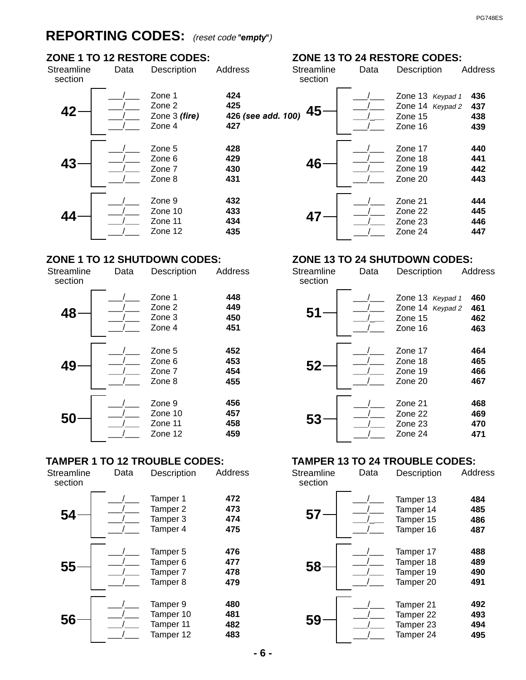## **REPORTING CODES:** (reset code "empty")

## **ZONE 1 TO 12 RESTORE CODES:**

| Streamline<br>section | Data | Description                                 | Address                     |
|-----------------------|------|---------------------------------------------|-----------------------------|
| $\Delta$              |      | Zone 1<br>Zone 2<br>Zone 3 (fire)<br>Zone 4 | 424<br>425<br>426 (s<br>427 |
| 43                    |      | Zone 5<br>Zone 6<br>Zone 7<br>Zone 8        | 428<br>429<br>430<br>431    |
|                       |      | Zone 9<br>Zone 10<br>Zone 11<br>Zone 12     | 432<br>433<br>434<br>435    |

## **ZONE 1 TO 12 SHUTDOWN CODES:**

| <b>Streamline</b><br>section | Data | Description                             | Address                  |
|------------------------------|------|-----------------------------------------|--------------------------|
| 48                           |      | Zone 1<br>Zone 2<br>Zone 3<br>Zone 4    | 448<br>449<br>450<br>451 |
| 49                           |      | Zone 5<br>Zone 6<br>Zone 7<br>Zone 8    | 452<br>453<br>454<br>455 |
| 50                           |      | Zone 9<br>Zone 10<br>Zone 11<br>Zone 12 | 456<br>457<br>458<br>459 |

| <b>Streamline</b><br>section | Data | Description                                             | Address                  |
|------------------------------|------|---------------------------------------------------------|--------------------------|
| 54                           |      | Tamper 1<br>Tamper 2<br>Tamper 3<br>Tamper 4            | 472<br>473<br>474<br>475 |
| 55                           |      | Tamper 5<br>Tamper <sub>6</sub><br>Tamper 7<br>Tamper 8 | 476<br>477<br>478<br>479 |
| 56                           |      | Tamper 9<br>Tamper 10<br>Tamper 11<br>Tamper 12         | 480<br>481<br>482<br>483 |

## **ZONE 13 TO 24 RESTORE CODES:**

| <b>Idress</b>                           | Streamline<br>section | Data | Description                                                | Address                  |
|-----------------------------------------|-----------------------|------|------------------------------------------------------------|--------------------------|
| 424<br>425<br>426 (see add. 100)<br>427 | 45                    |      | Zone 13 Keypad 1<br>Zone 14 Keypad 2<br>Zone 15<br>Zone 16 | 436<br>437<br>438<br>439 |
| 428<br>429<br>430<br>431                | 46                    |      | Zone 17<br>Zone 18<br>Zone 19<br>Zone 20                   | 440<br>441<br>442<br>443 |
| 432<br>433<br>434<br>435                | 47                    |      | Zone 21<br>Zone 22<br>Zone 23<br>Zone 24                   | 444<br>445<br>446<br>447 |

### **ZONE 13 TO 24 SHUTDOWN CODES:**

| Streamline<br>section | Data | Description                                                | <b>Address</b>           |
|-----------------------|------|------------------------------------------------------------|--------------------------|
| 51                    |      | Zone 13 Keypad 1<br>Zone 14 Keypad 2<br>Zone 15<br>Zone 16 | 460<br>461<br>462<br>463 |
| 52                    |      | Zone 17<br>Zone 18<br>Zone 19<br>Zone 20                   | 464<br>465<br>466<br>467 |
| 53                    |      | Zone 21<br>Zone 22<br>Zone 23<br>Zone 24                   | 468<br>469<br>470<br>471 |

# **TAMPER 1 TO 12 TROUBLE CODES:**<br>
Streamline Data Description Address Streamline Data Description Add

| Data | Description                                     | <b>Address</b>           | Streamline<br>section | Data | Description                                      | Address                  |
|------|-------------------------------------------------|--------------------------|-----------------------|------|--------------------------------------------------|--------------------------|
|      | Tamper 1<br>Tamper 2<br>Tamper 3<br>Tamper 4    | 472<br>473<br>474<br>475 | $57 -$                |      | Tamper 13<br>Tamper 14<br>Tamper 15<br>Tamper 16 | 484<br>485<br>486<br>487 |
|      | Tamper 5<br>Tamper 6<br>Tamper 7<br>Tamper 8    | 476<br>477<br>478<br>479 | 58                    |      | Tamper 17<br>Tamper 18<br>Tamper 19<br>Tamper 20 | 488<br>489<br>490<br>491 |
|      | Tamper 9<br>Tamper 10<br>Tamper 11<br>Tamper 12 | 480<br>481<br>482<br>483 | 59                    |      | Tamper 21<br>Tamper 22<br>Tamper 23<br>Tamper 24 | 492<br>493<br>494<br>495 |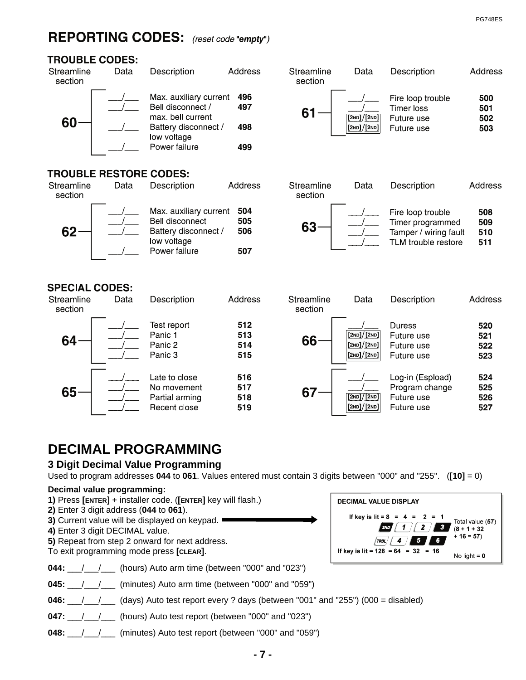## REPORTING CODES: (reset code "empty")



| Streamline<br>section | Data                          | Description                                                     | Address    |
|-----------------------|-------------------------------|-----------------------------------------------------------------|------------|
|                       |                               | Max. auxiliary current<br>Bell disconnect /<br>max bell current | 496<br>497 |
|                       |                               | Battery disconnect /<br>low voltage                             | 498        |
|                       |                               | Power failure                                                   | 499        |
|                       | <b>TROUBLE RESTORE CODES:</b> |                                                                 |            |
| Streamline            | Data                          | Description                                                     | Address    |







Description

Fire loop trouble

Data

Streamline

section



## **SPECIAL CODES:**

| Streamline<br>section | Data | Description                                                    | Address                  |
|-----------------------|------|----------------------------------------------------------------|--------------------------|
| 64                    |      | Test report<br>Panic 1<br>Panic 2<br>Panic 3                   | 512<br>513<br>514<br>515 |
| 65                    |      | Late to close<br>No movement<br>Partial arming<br>Recent close | 516<br>517<br>518<br>519 |



# **DECIMAL PROGRAMMING**

## **3 Digit Decimal Value Programming**

Used to program addresses **044** to **061**. Values entered must contain 3 digits between "000" and "255". (**[10]** = 0)

### **Decimal value programming:**



**048:** \_\_\_/\_\_\_/\_\_\_\_ (minutes) Auto test report (between "000" and "059")

**Address** 

500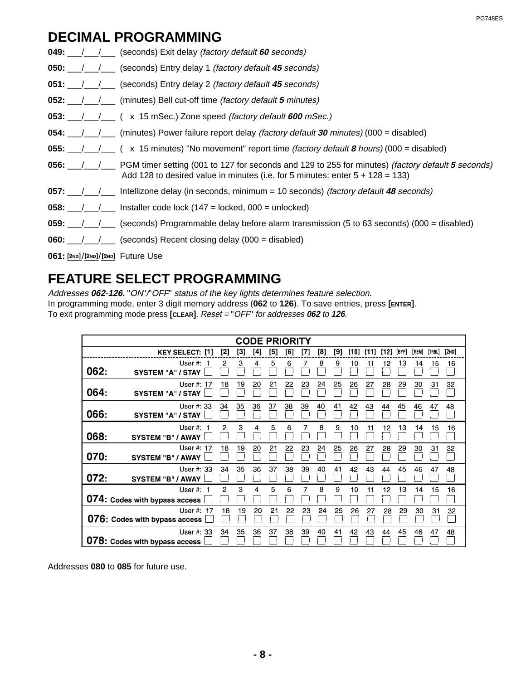## **DECIMAL PROGRAMMING**

|                                     | <b>049:</b> $\angle$ / (seconds) Exit delay <i>(factory default 60 seconds)</i>                                                                                                                                                                                                                                                                                                                                      |
|-------------------------------------|----------------------------------------------------------------------------------------------------------------------------------------------------------------------------------------------------------------------------------------------------------------------------------------------------------------------------------------------------------------------------------------------------------------------|
|                                     | <b>050:</b> $\frac{1}{1}$ / $\frac{1}{1}$ (seconds) Entry delay 1 <i>(factory default 45 seconds)</i>                                                                                                                                                                                                                                                                                                                |
|                                     | <b>051:</b> /// (seconds) Entry delay 2 (factory default 45 seconds)                                                                                                                                                                                                                                                                                                                                                 |
|                                     | <b>052:</b> / / / (minutes) Bell cut-off time <i>(factory default 5 minutes)</i>                                                                                                                                                                                                                                                                                                                                     |
|                                     | 053: $\frac{1}{\sqrt{2}}$ (x 15 mSec.) Zone speed <i>(factory default 600 mSec.)</i>                                                                                                                                                                                                                                                                                                                                 |
|                                     | <b>054:</b> ___/___/____ (minutes) Power failure report delay <i>(factory default 30 minutes)</i> (000 = disabled)                                                                                                                                                                                                                                                                                                   |
|                                     | 055: $\_\_\_\_\_\_\_\$ ( x 15 minutes) "No movement" report time <i>(factory default 8 hours)</i> (000 = disabled)                                                                                                                                                                                                                                                                                                   |
| 056: $/$ /                          | PGM timer setting (001 to 127 for seconds and 129 to 255 for minutes) <i>(factory default 5 seconds)</i><br>Add 128 to desired value in minutes (i.e. for 5 minutes: enter $5 + 128 = 133$ )                                                                                                                                                                                                                         |
|                                     | 057: $\_\_\_\_\_\_\$ Intellizone delay (in seconds, minimum = 10 seconds) (factory default 48 seconds)                                                                                                                                                                                                                                                                                                               |
|                                     | <b>058:</b> $\frac{1}{\sqrt{1-\frac{1}{1-\frac{1}{1-\frac{1}{1-\frac{1}{1-\frac{1}{1-\frac{1}{1-\frac{1}{1-\frac{1}{1-\frac{1}{1-\frac{1}{1-\frac{1}{1-\frac{1}{1-\frac{1}{1-\frac{1}{1-\frac{1}{1-\frac{1}{1-\frac{1}{1-\frac{1}{1-\frac{1}{1-\frac{1}{1-\frac{1}{1-\frac{1}{1-\frac{1}{1-\frac{1}{1-\frac{1}{1-\frac{1}{1-\frac{1}{1-\frac{1}{1-\frac{1}{1-\frac{1}{1-\frac{1}{1-\frac{1}{1-\frac{1}{1-\frac{1}{1$ |
|                                     | 059: $\_\_\_\_\_\_\_\$ (seconds) Programmable delay before alarm transmission (5 to 63 seconds) (000 = disabled)                                                                                                                                                                                                                                                                                                     |
|                                     | <b>060:</b> $\angle$ / (seconds) Recent closing delay (000 = disabled)                                                                                                                                                                                                                                                                                                                                               |
| $061:$ [2ND]/[2ND]/[2ND] Future Use |                                                                                                                                                                                                                                                                                                                                                                                                                      |

PG748ES

## **FEATURE SELECT PROGRAMMING**

Addresses **062**-**126.** "ON"/"OFF" status of the key lights determines feature selection. In programming mode, enter 3 digit memory address (**062** to **126**). To save entries, press **[ENTER]**. To exit programming mode press **[CLEAR]**. Reset = "OFF" for addresses **062** to **126**.

|      |                                              |     |     | <b>CODE PRIORITY</b> |     |     |     |     |     |      |      |      |       |       |        |       |
|------|----------------------------------------------|-----|-----|----------------------|-----|-----|-----|-----|-----|------|------|------|-------|-------|--------|-------|
|      | <b>KEY SELECT: [1]</b>                       | [2] | [3] | [4]                  | [5] | [6] | [7] | [8] | [9] | [10] | [11] | [12] | [BYP] | [MEM] | [TRBL] | [2ND] |
| 062: | User $#: 1$<br><b>SYSTEM "A" / STAY</b>      | 2   | 3   | 4                    | 5   | 6   | 7   | 8   | 9   | 10   | 11   | 12   | 13    | 14    | 15     | 16    |
| 064: | User #: 17<br><b>SYSTEM "A" / STAY</b>       | 18  | 19  | 20                   | 21  | 22  | 23  | 24  | 25  | 26   | 27   | 28   | 29    | 30    | 31     | 32    |
| 066: | User #: 33<br><b>SYSTEM "A" / STAY</b>       | 34  | 35  | 36                   | 37  | 38  | 39  | 40  | 41  | 42   | 43   | 44   | 45    | 46    | 47     | 48    |
| 068: | User #:<br><b>SYSTEM "B" / AWAY</b>          |     | 3   | 4                    | 5   | 6   |     | 8   | 9   | 10   | 11   | 12   | 13    | 14    | 15     | 16    |
| 070: | User #: 17<br><b>SYSTEM "B" / AWAY</b>       | 18  | 19  | 20                   | 21  | 22  | 23  | 24  | 25  | 26   | 27   | 28   | 29    | 30    | 31     | 32    |
| 072: | User #: 33<br><b>SYSTEM "B" / AWAY</b>       | 34  | 35  | 36                   | 37  | 38  | 39  | 40  | 41  | 42   | 43   | 44   | 45    | 46    | 47     | 48    |
|      | User #: $1$<br>074: Codes with bypass access | 2   | 3   | 4                    | 5   | 6   | 7   | 8   | 9   | 10   | 11   | 12   | 13    | 14    | 15     | 16    |
|      | User #: 17<br>076: Codes with bypass access  | 18  | 19  | 20                   | 21  | 22  | 23  | 24  | 25  | 26   | 27   | 28   | 29    | 30    | 31     | 32    |
|      | User #: 33<br>078: Codes with bypass access  | 34  | 35  | 36                   | 37  | 38  | 39  | 40  | 41  | 42   | 43   | 44   | 45    | 46    | 47     | 48    |

Addresses **080** to **085** for future use.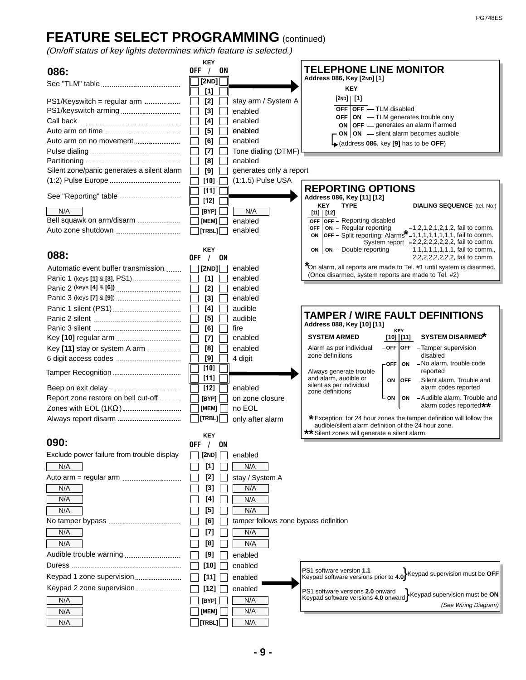# **FEATURE SELECT PROGRAMMING** (continued)

(On/off status of key lights determines which feature is selected.)

|                                            | <b>KEY</b>                 |                                       | <b>TELEPHONE LINE MONITOR</b>                                                                                                                                                                         |
|--------------------------------------------|----------------------------|---------------------------------------|-------------------------------------------------------------------------------------------------------------------------------------------------------------------------------------------------------|
| 086:                                       | 0FF<br>$\frac{1}{2}$<br>ON |                                       | Address 086, Key [2ND] [1]                                                                                                                                                                            |
|                                            | [2ND]                      |                                       | <b>KEY</b>                                                                                                                                                                                            |
|                                            | [1]                        |                                       | [2ND]   [1]                                                                                                                                                                                           |
| PS1/Keyswitch = regular arm                | $[2]$                      | stay arm / System A                   | $OFF$ OFF $-$ TLM disabled                                                                                                                                                                            |
|                                            | $[3]$                      | enabled                               | <b>OFF</b> $ ON$ — TLM generates trouble only                                                                                                                                                         |
|                                            | [4]                        | enabled                               | ON OFF - generates an alarm if armed                                                                                                                                                                  |
|                                            | [5]                        | enabled                               | ON $ ON$ -silent alarm becomes audible                                                                                                                                                                |
|                                            | [6]                        | enabled                               | $\downarrow$ (address 086, key [9] has to be OFF)                                                                                                                                                     |
|                                            | $[7]$                      | Tone dialing (DTMF)                   |                                                                                                                                                                                                       |
|                                            | [8]                        | enabled                               |                                                                                                                                                                                                       |
| Silent zone/panic generates a silent alarm | [9]                        | generates only a report               |                                                                                                                                                                                                       |
|                                            | $[10]$                     | (1:1.5) Pulse USA                     |                                                                                                                                                                                                       |
|                                            | $[11]$                     |                                       | <b>REPORTING OPTIONS</b><br>Address 086, Key [11] [12]                                                                                                                                                |
|                                            | $[12]$                     |                                       | <b>KEY</b><br><b>TYPE</b><br><b>DIALING SEQUENCE</b> (tel. No.)                                                                                                                                       |
| N/A                                        | [BYP]                      | N/A                                   | [11]   [12]                                                                                                                                                                                           |
| Bell squawk on arm/disarm                  | [MEM]                      | enabled                               | <b>OFF</b> OFF - Reporting disabled<br><b>OFF</b>                                                                                                                                                     |
|                                            | [TRBL]                     | enabled                               | on - Regular reporting -1,2,1,2,1,2,1,2, fail to comm.<br><b>OFF</b> - Split reporting: Alarms <sup>*</sup> -1,1,1,1,1,1,1,1, fail to comm.<br>ON<br>System report $-2,2,2,2,2,2,2,2,4$ fail to comm. |
| 088:                                       | KEY<br>OFF $/$<br>ON       |                                       | <b>ON</b> - Double reporting<br>$-1, 1, 1, 1, 1, 1, 1, 1,$ fail to comm.,<br>ON                                                                                                                       |
| Automatic event buffer transmission        | [2ND]                      | enabled                               | *On alarm, all reports are made to Tel. #1 until system is disarmed.                                                                                                                                  |
|                                            | $[1]$                      | enabled                               | (Once disarmed, system reports are made to Tel. #2)                                                                                                                                                   |
|                                            | $[2]$                      | enabled                               |                                                                                                                                                                                                       |
|                                            | $[3]$                      | enabled                               |                                                                                                                                                                                                       |
|                                            | [4]                        | audible                               |                                                                                                                                                                                                       |
|                                            | $[5]$                      | audible                               | <b>TAMPER / WIRE FAULT DEFINITIONS</b>                                                                                                                                                                |
|                                            | [6]                        | fire                                  | Address 088, Key [10] [11]                                                                                                                                                                            |
|                                            | $[7]$                      | enabled                               | <b>KEY</b><br><b>SYSTEM DISARMED*</b><br><b>SYSTEM ARMED</b><br>[10]  [11]                                                                                                                            |
| Key [11] stay or system A arm              | [8]                        | enabled                               | $-$ OFF $ $ OFF $-$ Tamper supervision<br>Alarm as per individual                                                                                                                                     |
|                                            | [9]                        | 4 digit                               | zone definitions<br>disabled                                                                                                                                                                          |
|                                            | $[10]$                     |                                       | - No alarm, trouble code<br>$\mathsf{\sim}$ OFF<br>ON                                                                                                                                                 |
|                                            | [11]                       |                                       | reported<br>Always generate trouble<br>and alarm, audible or                                                                                                                                          |
|                                            | [12]                       | enabled                               | <b>OFF</b> - Silent alarm. Trouble and<br>ON<br>silent as per individual<br>alarm codes reported                                                                                                      |
| Report zone restore on bell cut-off        | [BYP]                      | on zone closure                       | zone definitions<br>- Audible alarm. Trouble and<br>ON<br>ON                                                                                                                                          |
|                                            |                            |                                       | alarm codes reported**                                                                                                                                                                                |
|                                            | [MEM]                      | no EOL                                |                                                                                                                                                                                                       |
|                                            | [TRBL]                     | only after alarm                      | * Exception: for 24 hour zones the tamper definition will follow the<br>audible/silent alarm definition of the 24 hour zone.<br>** Silent zones will generate a silent alarm.                         |
| 090:                                       | <b>KEY</b><br>OFF<br>/ ON  |                                       |                                                                                                                                                                                                       |
| Exclude power failure from trouble display | [2ND]                      | enabled                               |                                                                                                                                                                                                       |
|                                            |                            |                                       |                                                                                                                                                                                                       |
| N/A                                        | [1]                        | N/A                                   |                                                                                                                                                                                                       |
|                                            | [2]                        | stay / System A                       |                                                                                                                                                                                                       |
| N/A                                        | [3]                        | N/A                                   |                                                                                                                                                                                                       |
| N/A                                        | [4]                        | N/A                                   |                                                                                                                                                                                                       |
| N/A                                        | [5]                        | N/A                                   |                                                                                                                                                                                                       |
|                                            | 161                        | tamper follows zone bypass definition |                                                                                                                                                                                                       |
| N/A                                        | [7]                        | N/A                                   |                                                                                                                                                                                                       |
|                                            |                            |                                       |                                                                                                                                                                                                       |
| N/A                                        | [8]                        | N/A                                   |                                                                                                                                                                                                       |
|                                            | [9]                        | enabled                               |                                                                                                                                                                                                       |
|                                            | $[10]$                     | enabled                               |                                                                                                                                                                                                       |
| Keypad 1 zone supervision                  | $[11]$                     | enabled                               | PS1 software version 1.1<br>Keypad software versions prior to 4.0 <sup>}</sup> Keypad supervision must be OFF                                                                                         |
| Keypad 2 zone supervision                  | [12]                       | enabled                               | PS1 software versions 2.0 onward<br>Keypad software versions 4.0 onward Keypad supervision must be ON                                                                                                 |
| N/A                                        | [BYP]                      | N/A                                   |                                                                                                                                                                                                       |
| N/A                                        | [MEM]                      | N/A                                   | (See Wiring Diagram)                                                                                                                                                                                  |
| N/A                                        | [TRBL]                     | N/A                                   |                                                                                                                                                                                                       |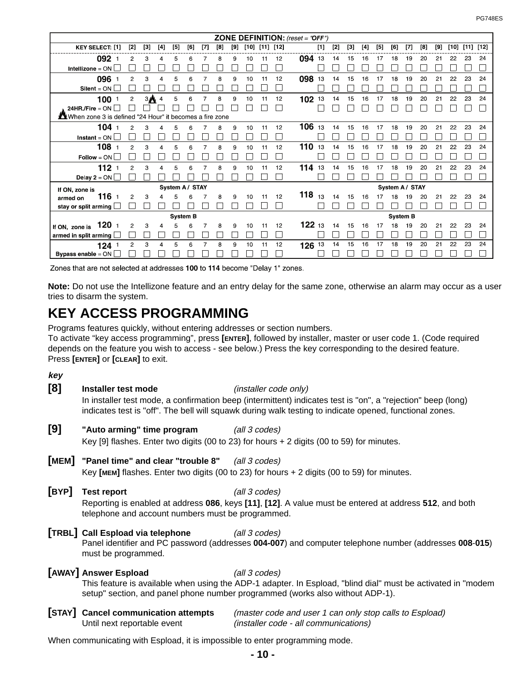| <b>ZONE DEFINITION:</b> (reset = "OFF")                 |                |       |                  |                 |     |                |     |     |    |    |                      |          |        |       |       |     |       |                 |     |          |     |        |      |        |
|---------------------------------------------------------|----------------|-------|------------------|-----------------|-----|----------------|-----|-----|----|----|----------------------|----------|--------|-------|-------|-----|-------|-----------------|-----|----------|-----|--------|------|--------|
| <b>KEY SELECT: [1]</b>                                  | [2]            | $[3]$ | $[4]$            | [5]             | [6] | $[7]$          | [8] | [9] |    |    | $[10]$ $[11]$ $[12]$ |          | $[1]$  | $[2]$ | $[3]$ | [4] | $[5]$ | [6]             | [7] | $^{[8]}$ | [9] | $[10]$ | [11] | $[12]$ |
| 092 1                                                   | $\overline{c}$ | 3     | 4                | 5               | 6   |                | 8   | 9   | 10 | 11 | 12                   | 094 13   |        | 14    | 15    | 16  | 17    | 18              | 19  | 20       | 21  | 22     | 23   | 24     |
| <b>Intellizone</b> = $ON$                               |                |       |                  |                 |     |                |     |     |    |    |                      |          |        |       |       |     |       |                 |     |          |     |        |      |        |
| 096                                                     | 2              | з     |                  | 5               |     |                | 8   | 9   | 10 |    | 12                   | 098      | 13     | 14    | 15    | 16  |       | 18              | 19  | 20       | 21  | 22     | 23   | 24     |
| $Silent = ON$                                           |                |       |                  |                 |     |                |     |     |    |    |                      |          |        |       |       |     |       |                 |     |          |     |        |      |        |
| 100                                                     | $\overline{c}$ |       | $3$ <sup>4</sup> | 5               | 6   | $\overline{7}$ | 8   | 9   | 10 | 11 | 12                   | 102      | 13     | 14    | 15    | 16  | 17    | 18              | 19  | 20       | 21  | 22     | 23   | 24     |
| $24HR$ /Fire = ON                                       |                |       |                  |                 |     |                |     |     |    |    |                      |          |        |       |       |     |       |                 |     |          |     |        |      |        |
| When zone 3 is defined "24 Hour" it becomes a fire zone |                |       |                  |                 |     |                |     |     |    |    |                      |          |        |       |       |     |       |                 |     |          |     |        |      |        |
| 104                                                     | 2              | 3     |                  | 5               |     |                |     | 9   | 10 |    | 12                   | 106      | 13     | 14    | 15    | 16  | 17    | 18              | 19  | 20       | 21  | 22     | 23   | 24     |
| <b>Instant</b> = $ON$                                   |                |       |                  |                 |     |                |     |     |    |    |                      |          |        |       |       |     |       |                 |     |          |     |        |      |        |
| 108                                                     | $\overline{a}$ | 3     | 4                | 5               | 6   |                | 8   | 9   | 10 | 11 | 12                   | 110      | 13     | 14    | 15    | 16  | 17    | 18              | 19  | 20       | 21  | 22     | 23   | 24     |
| $Follow = ON$                                           |                |       |                  |                 |     |                |     |     |    |    |                      |          |        |       |       |     |       |                 |     |          |     |        |      |        |
| 112                                                     | 2              | з     |                  | 5               |     |                | 8   | 9   | 10 | 11 | 12                   | 114      | 13     | 14    | 15    | 16  | 17    | 18              | 19  | 20       | 21  | 22     | 23   | 24     |
| Delay $2 = ON$                                          |                |       |                  |                 |     |                |     |     |    |    |                      |          |        |       |       |     |       |                 |     |          |     |        |      |        |
| If ON, zone is                                          |                |       |                  | System A / STAY |     |                |     |     |    |    |                      |          |        |       |       |     |       | System A/ STAY  |     |          |     |        |      |        |
| 116 1<br>armed on                                       | $\overline{c}$ | 3     | 4                | 5               | 6   |                | 8   | 9   | 10 | 11 | 12                   | 118 $13$ |        | 14    | 15    | 16  | 17    | 18              | 19  | 20       | 21  | 22     | 23   | 24     |
| stay or split arming [                                  |                |       |                  |                 |     |                |     |     |    |    |                      |          |        |       |       |     |       |                 |     |          |     |        |      |        |
| <b>System B</b>                                         |                |       |                  |                 |     |                |     |     |    |    |                      |          |        |       |       |     |       | <b>System B</b> |     |          |     |        |      |        |
| If ON, zone is $\,$ 120 $\,$                            | 2              | 3     | 4                | 5               | 6   |                | 8   | 9   | 10 |    | 12                   |          | 12213  | 14    | 15    | 16  | 17    | 18              | 19  | 20       | 21  | 22     | 23   | 24     |
| armed in split arming                                   |                |       |                  |                 |     |                |     |     |    |    |                      |          |        |       |       |     |       |                 |     |          |     |        |      |        |
| $124-1$                                                 | 2              | 3     | 4                | 5               | 6   |                | 8   | 9   | 10 | 11 | 12                   |          | 126 13 | 14    | 15    | 16  | 17    | 18              | 19  | 20       | 21  | 22     | 23   | 24     |
| Bypass enable $=$ ON                                    |                |       |                  |                 |     |                |     |     |    |    |                      |          |        |       |       |     |       |                 |     |          |     |        |      |        |

Zones that are not selected at addresses 100 to 114 become "Delay 1" zones.

**Note:** Do not use the Intellizone feature and an entry delay for the same zone, otherwise an alarm may occur as a user tries to disarm the system.

## **KEY ACCESS PROGRAMMING**

Programs features quickly, without entering addresses or section numbers. To activate "key access programming", press **[ENTER]**, followed by installer, master or user code 1. (Code required depends on the feature you wish to access - see below.) Press the key corresponding to the desired feature. Press **[ENTER]** or **[CLEAR]** to exit.

**key**

**[8] Installer test mode** (installer code only) In installer test mode, a confirmation beep (intermittent) indicates test is "on", a "rejection" beep (long) indicates test is "off". The bell will squawk during walk testing to indicate opened, functional zones. **[9] "Auto arming" time program** (all 3 codes) Key [9] flashes. Enter two digits (00 to 23) for hours + 2 digits (00 to 59) for minutes. **[MEM]** "Panel time" and clear "trouble 8" (all 3 codes) Key **[MEM]** flashes. Enter two digits (00 to 23) for hours + 2 digits (00 to 59) for minutes. **[BYP] Test report** (all 3 codes) Reporting is enabled at address **086**, keys **[11]**, **[12]**. A value must be entered at address **512**, and both telephone and account numbers must be programmed. **[TRBL]** Call Espload via telephone (all 3 codes) Panel identifier and PC password (addresses **004-007**) and computer telephone number (addresses **008**-**015**) must be programmed. **[AWAY]** Answer Espload (all 3 codes) This feature is available when using the ADP-1 adapter. In Espload, "blind dial" must be activated in "modem setup" section, and panel phone number programmed (works also without ADP-1). **[STAY] Cancel communication attempts** (master code and user 1 can only stop calls to Espload)

When communicating with Espload, it is impossible to enter programming mode.

Until next reportable event (installer code - all communications)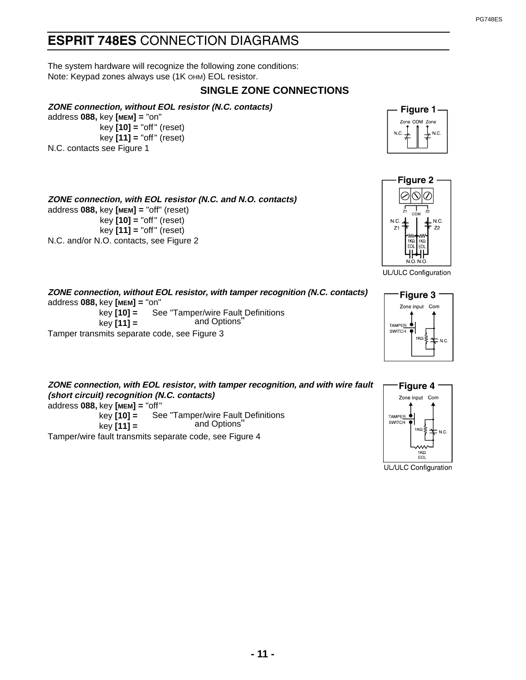## ESPRIT 748ES CONNECTION DIAGRAMS

The system hardware will recognize the following zone conditions: Note: Keypad zones always use (1K OHM) EOL resistor.

**ZONE connection, with EOL resistor (N.C. and N.O. contacts)**

### **SINGLE ZONE CONNECTIONS**

### **ZONE connection, without EOL resistor (N.C. contacts)**

address **088,** key **[MEM] =** "on" key **[10] =** "off" (reset) key **[11] =** "off" (reset) N.C. contacts see Figure 1

address **088,** key **[MEM] =** "off" (reset)

N.C. and/or N.O. contacts, see Figure 2

key **[10] =** "off" (reset) key **[11] =** "off" (reset)





UL/ULC Configuration

**ZONE connection, without EOL resistor, with tamper recognition (N.C. contacts)** address **088,** key **[MEM] =** "on" key **[10] =**  key **[11] =**  Tamper transmits separate code, see Figure 3 See "Tamper/wire Fault Definitions and Options"

**ZONE connection, with EOL resistor, with tamper recognition, and with wire fault (short circuit) recognition (N.C. contacts)** address **088,** key **[MEM] =** "off" key **[10] =**  key **[11] =**  See "Tamper/wire Fault Definitions and Options"

Tamper/wire fault transmits separate code, see Figure 4





UL/ULC Configuration